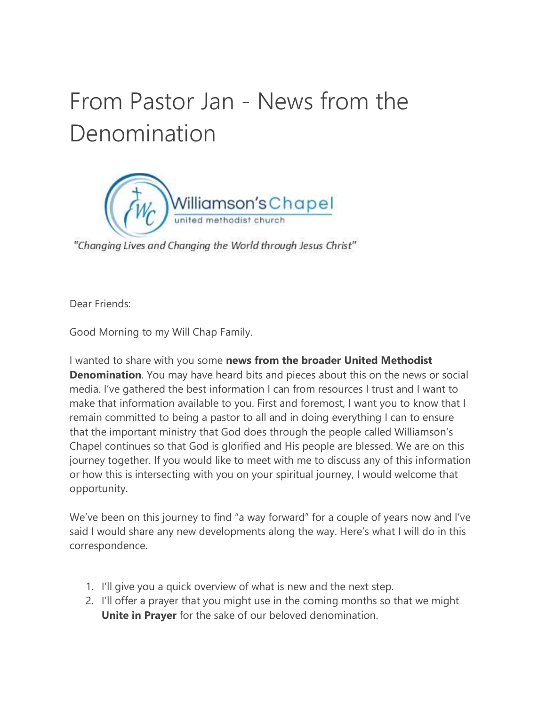# From Pastor Jan - News from the Denomination



"Changing Lives and Changing the World through Jesus Christ"

Dear Friends:

Good Morning to my Will Chap Family.

I wanted to share with you some news from the broader United Methodist Denomination. You may have heard bits and pieces about this on the news or social media. I've gathered the best information I can from resources I trust and I want to make that information available to you. First and foremost, I want you to know that I remain committed to being a pastor to all and in doing everything I can to ensure that the important ministry that God does through the people called Williamson's Chapel continues so that God is glorified and His people are blessed. We are on this journey together. If you would like to meet with me to discuss any of this information or how this is intersecting with you on your spiritual journey, I would welcome that opportunity.

We've been on this journey to find "a way forward" for a couple of years now and I've said I would share any new developments along the way. Here's what I will do in this correspondence.

- 1. I'll give you a quick overview of what is new and the next step.
- 2. I'll offer a prayer that you might use in the coming months so that we might Unite in Prayer for the sake of our beloved denomination.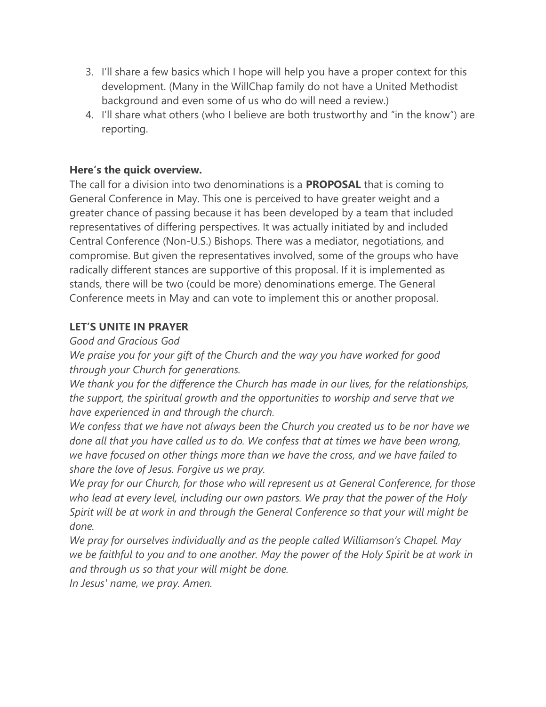- 3. I'll share a few basics which I hope will help you have a proper context for this development. (Many in the WillChap family do not have a United Methodist background and even some of us who do will need a review.)
- 4. I'll share what others (who I believe are both trustworthy and "in the know") are reporting.

#### Here's the quick overview.

The call for a division into two denominations is a **PROPOSAL** that is coming to General Conference in May. This one is perceived to have greater weight and a greater chance of passing because it has been developed by a team that included representatives of differing perspectives. It was actually initiated by and included Central Conference (Non-U.S.) Bishops. There was a mediator, negotiations, and compromise. But given the representatives involved, some of the groups who have radically different stances are supportive of this proposal. If it is implemented as stands, there will be two (could be more) denominations emerge. The General Conference meets in May and can vote to implement this or another proposal.

## LET'S UNITE IN PRAYER

## Good and Gracious God

We praise you for your gift of the Church and the way you have worked for good through your Church for generations.

We thank you for the difference the Church has made in our lives, for the relationships, the support, the spiritual growth and the opportunities to worship and serve that we have experienced in and through the church.

We confess that we have not always been the Church you created us to be nor have we done all that you have called us to do. We confess that at times we have been wrong, we have focused on other things more than we have the cross, and we have failed to share the love of Jesus. Forgive us we pray.

We pray for our Church, for those who will represent us at General Conference, for those who lead at every level, including our own pastors. We pray that the power of the Holy Spirit will be at work in and through the General Conference so that your will might be done.

We pray for ourselves individually and as the people called Williamson's Chapel. May we be faithful to you and to one another. May the power of the Holy Spirit be at work in and through us so that your will might be done.

In Jesus' name, we pray. Amen.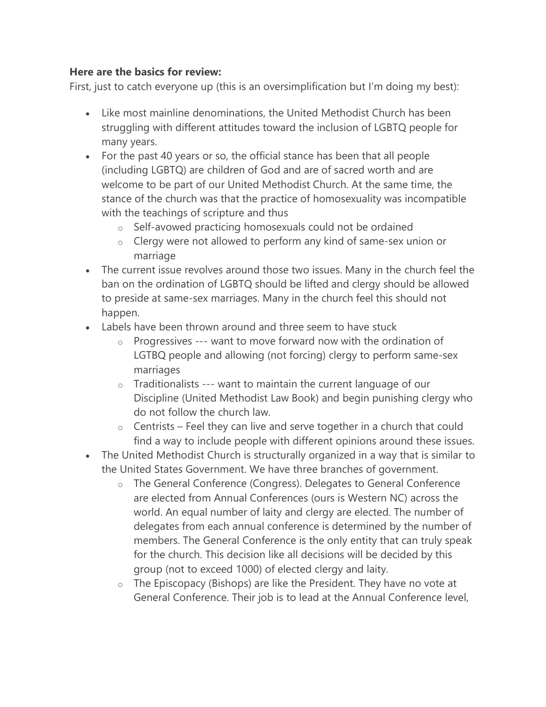#### Here are the basics for review:

First, just to catch everyone up (this is an oversimplification but I'm doing my best):

- Like most mainline denominations, the United Methodist Church has been struggling with different attitudes toward the inclusion of LGBTQ people for many years.
- For the past 40 years or so, the official stance has been that all people (including LGBTQ) are children of God and are of sacred worth and are welcome to be part of our United Methodist Church. At the same time, the stance of the church was that the practice of homosexuality was incompatible with the teachings of scripture and thus
	- o Self-avowed practicing homosexuals could not be ordained
	- o Clergy were not allowed to perform any kind of same-sex union or marriage
- The current issue revolves around those two issues. Many in the church feel the ban on the ordination of LGBTQ should be lifted and clergy should be allowed to preside at same-sex marriages. Many in the church feel this should not happen.
- Labels have been thrown around and three seem to have stuck
	- $\circ$  Progressives --- want to move forward now with the ordination of LGTBQ people and allowing (not forcing) clergy to perform same-sex marriages
	- o Traditionalists --- want to maintain the current language of our Discipline (United Methodist Law Book) and begin punishing clergy who do not follow the church law.
	- $\circ$  Centrists Feel they can live and serve together in a church that could find a way to include people with different opinions around these issues.
- The United Methodist Church is structurally organized in a way that is similar to the United States Government. We have three branches of government.
	- o The General Conference (Congress). Delegates to General Conference are elected from Annual Conferences (ours is Western NC) across the world. An equal number of laity and clergy are elected. The number of delegates from each annual conference is determined by the number of members. The General Conference is the only entity that can truly speak for the church. This decision like all decisions will be decided by this group (not to exceed 1000) of elected clergy and laity.
	- $\circ$  The Episcopacy (Bishops) are like the President. They have no vote at General Conference. Their job is to lead at the Annual Conference level,